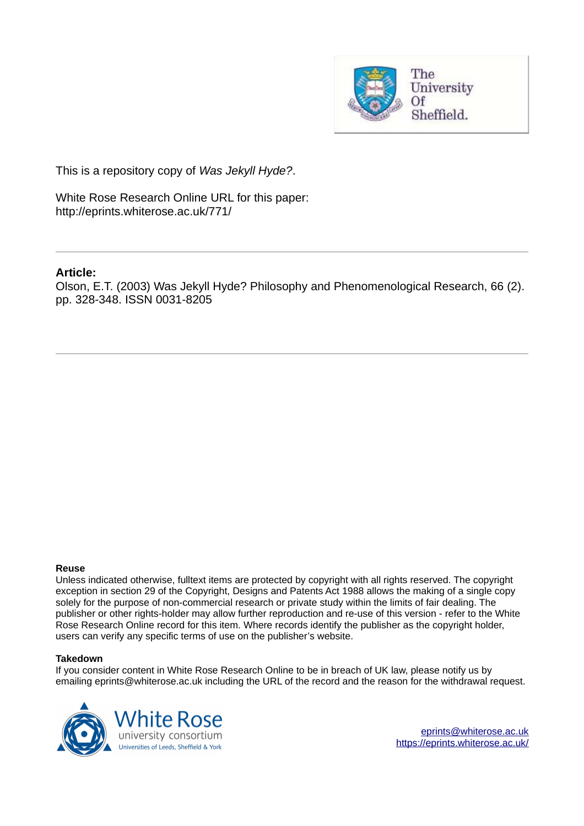

This is a repository copy of *Was Jekyll Hyde?*.

White Rose Research Online URL for this paper: http://eprints.whiterose.ac.uk/771/

## **Article:**

Olson, E.T. (2003) Was Jekyll Hyde? Philosophy and Phenomenological Research, 66 (2). pp. 328-348. ISSN 0031-8205

## **Reuse**

Unless indicated otherwise, fulltext items are protected by copyright with all rights reserved. The copyright exception in section 29 of the Copyright, Designs and Patents Act 1988 allows the making of a single copy solely for the purpose of non-commercial research or private study within the limits of fair dealing. The publisher or other rights-holder may allow further reproduction and re-use of this version - refer to the White Rose Research Online record for this item. Where records identify the publisher as the copyright holder, users can verify any specific terms of use on the publisher's website.

## **Takedown**

If you consider content in White Rose Research Online to be in breach of UK law, please notify us by emailing eprints@whiterose.ac.uk including the URL of the record and the reason for the withdrawal request.



[eprints@whiterose.ac.uk](mailto:eprints@whiterose.ac.uk) <https://eprints.whiterose.ac.uk/>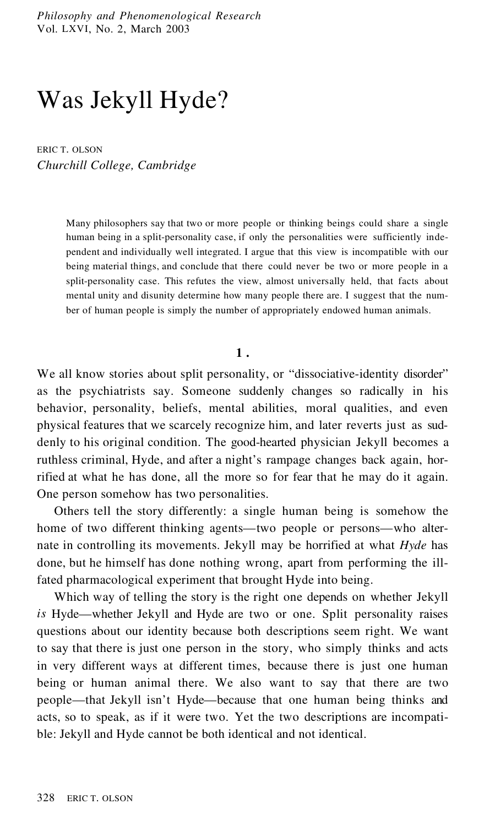# Was Jekyll Hyde?

ERIC T. OLSON *Churchill College, Cambridge*

> Many philosophers say that two or more people or thinking beings could share a single human being in a split-personality case, if only the personalities were sufficiently independent and individually well integrated. I argue that this view is incompatible with our being material things, and conclude that there could never be two or more people in a split-personality case. This refutes the view, almost universally held, that facts about mental unity and disunity determine how many people there are. I suggest that the number of human people is simply the number of appropriately endowed human animals.

#### **1 .**

We all know stories about split personality, or "dissociative-identity disorder" as the psychiatrists say. Someone suddenly changes so radically in his behavior, personality, beliefs, mental abilities, moral qualities, and even physical features that we scarcely recognize him, and later reverts just as suddenly to his original condition. The good-hearted physician Jekyll becomes a ruthless criminal, Hyde, and after a night's rampage changes back again, horrified at what he has done, all the more so for fear that he may do it again. One person somehow has two personalities.

Others tell the story differently: a single human being is somehow the home of two different thinking agents—two people or persons—who alternate in controlling its movements. Jekyll may be horrified at what *Hyde* has done, but he himself has done nothing wrong, apart from performing the illfated pharmacological experiment that brought Hyde into being.

Which way of telling the story is the right one depends on whether Jekyll *is* Hyde—whether Jekyll and Hyde are two or one. Split personality raises questions about our identity because both descriptions seem right. We want to say that there is just one person in the story, who simply thinks and acts in very different ways at different times, because there is just one human being or human animal there. We also want to say that there are two people—that Jekyll isn't Hyde—because that one human being thinks and acts, so to speak, as if it were two. Yet the two descriptions are incompatible: Jekyll and Hyde cannot be both identical and not identical.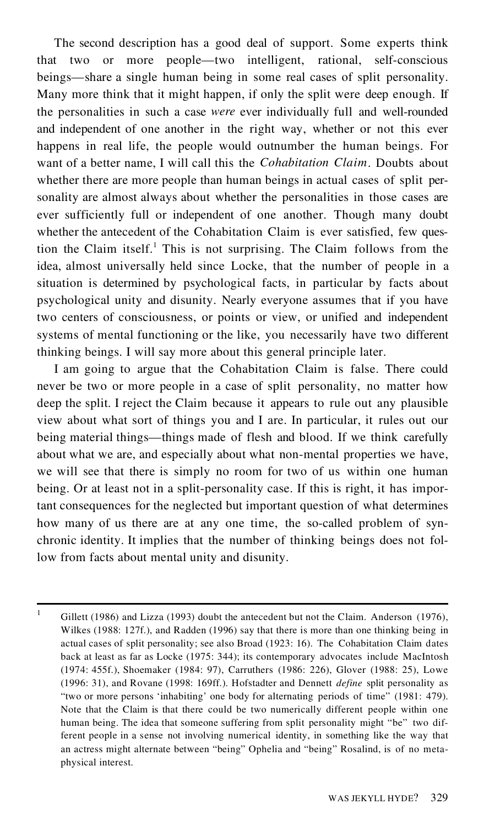The second description has a good deal of support. Some experts think that two or more people—two intelligent, rational, self-conscious beings—share a single human being in some real cases of split personality. Many more think that it might happen, if only the split were deep enough. If the personalities in such a case *were* ever individually full and well-rounded and independent of one another in the right way, whether or not this ever happens in real life, the people would outnumber the human beings. For want of a better name, I will call this the *Cohabitation Claim*. Doubts about whether there are more people than human beings in actual cases of split personality are almost always about whether the personalities in those cases are ever sufficiently full or independent of one another. Though many doubt whether the antecedent of the Cohabitation Claim is ever satisfied, few question the Claim itself.<sup>1</sup> This is not surprising. The Claim follows from the idea, almost universally held since Locke, that the number of people in a situation is determined by psychological facts, in particular by facts about psychological unity and disunity. Nearly everyone assumes that if you have two centers of consciousness, or points or view, or unified and independent systems of mental functioning or the like, you necessarily have two different thinking beings. I will say more about this general principle later.

I am going to argue that the Cohabitation Claim is false. There could never be two or more people in a case of split personality, no matter how deep the split. I reject the Claim because it appears to rule out any plausible view about what sort of things you and I are. In particular, it rules out our being material things—things made of flesh and blood. If we think carefully about what we are, and especially about what non-mental properties we have, we will see that there is simply no room for two of us within one human being. Or at least not in a split-personality case. If this is right, it has important consequences for the neglected but important question of what determines how many of us there are at any one time, the so-called problem of synchronic identity. It implies that the number of thinking beings does not follow from facts about mental unity and disunity.

<sup>:</sup> 1 Gillett (1986) and Lizza (1993) doubt the antecedent but not the Claim. Anderson (1976), Wilkes (1988: 127f.), and Radden (1996) say that there is more than one thinking being in actual cases of split personality; see also Broad (1923: 16). The Cohabitation Claim dates back at least as far as Locke (1975: 344); its contemporary advocates include MacIntosh (1974: 455f.), Shoemaker (1984: 97), Carruthers (1986: 226), Glover (1988: 25), Lowe (1996: 31), and Rovane (1998: 169ff.). Hofstadter and Dennett *define* split personality as "two or more persons 'inhabiting' one body for alternating periods of time" (1981: 479). Note that the Claim is that there could be two numerically different people within one human being. The idea that someone suffering from split personality might "be" two different people in a sense not involving numerical identity, in something like the way that an actress might alternate between "being" Ophelia and "being" Rosalind, is of no metaphysical interest.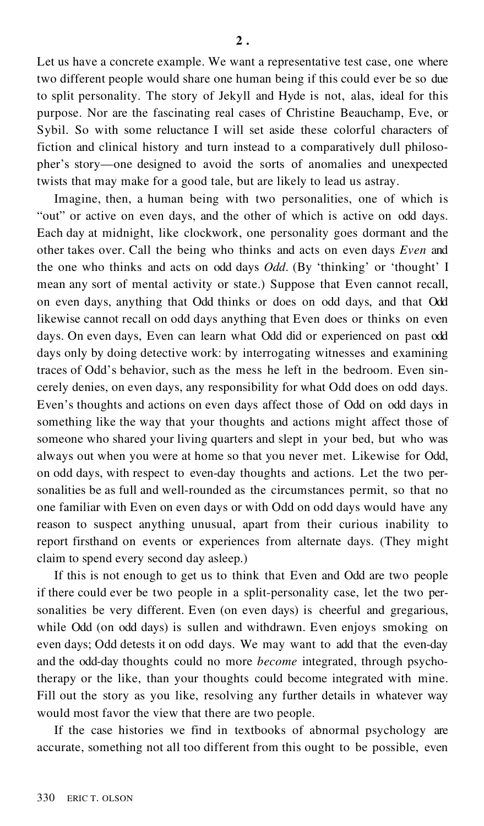Let us have a concrete example. We want a representative test case, one where two different people would share one human being if this could ever be so due to split personality. The story of Jekyll and Hyde is not, alas, ideal for this purpose. Nor are the fascinating real cases of Christine Beauchamp, Eve, or Sybil. So with some reluctance I will set aside these colorful characters of fiction and clinical history and turn instead to a comparatively dull philosopher's story—one designed to avoid the sorts of anomalies and unexpected twists that may make for a good tale, but are likely to lead us astray.

Imagine, then, a human being with two personalities, one of which is "out" or active on even days, and the other of which is active on odd days. Each day at midnight, like clockwork, one personality goes dormant and the other takes over. Call the being who thinks and acts on even days *Even* and the one who thinks and acts on odd days *Odd*. (By 'thinking' or 'thought' I mean any sort of mental activity or state.) Suppose that Even cannot recall, on even days, anything that Odd thinks or does on odd days, and that Odd likewise cannot recall on odd days anything that Even does or thinks on even days. On even days, Even can learn what Odd did or experienced on past odd days only by doing detective work: by interrogating witnesses and examining traces of Odd's behavior, such as the mess he left in the bedroom. Even sincerely denies, on even days, any responsibility for what Odd does on odd days. Even's thoughts and actions on even days affect those of Odd on odd days in something like the way that your thoughts and actions might affect those of someone who shared your living quarters and slept in your bed, but who was always out when you were at home so that you never met. Likewise for Odd, on odd days, with respect to even-day thoughts and actions. Let the two personalities be as full and well-rounded as the circumstances permit, so that no one familiar with Even on even days or with Odd on odd days would have any reason to suspect anything unusual, apart from their curious inability to report firsthand on events or experiences from alternate days. (They might claim to spend every second day asleep.)

If this is not enough to get us to think that Even and Odd are two people if there could ever be two people in a split-personality case, let the two personalities be very different. Even (on even days) is cheerful and gregarious, while Odd (on odd days) is sullen and withdrawn. Even enjoys smoking on even days; Odd detests it on odd days. We may want to add that the even-day and the odd-day thoughts could no more *become* integrated, through psychotherapy or the like, than your thoughts could become integrated with mine. Fill out the story as you like, resolving any further details in whatever way would most favor the view that there are two people.

If the case histories we find in textbooks of abnormal psychology are accurate, something not all too different from this ought to be possible, even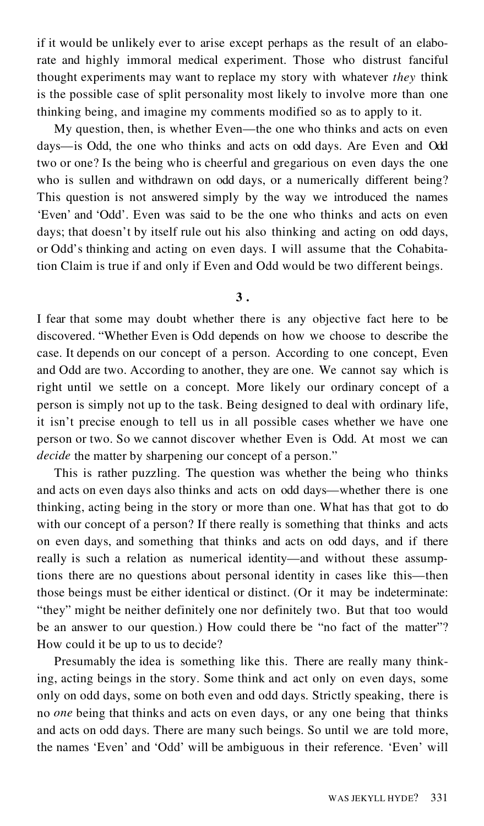if it would be unlikely ever to arise except perhaps as the result of an elaborate and highly immoral medical experiment. Those who distrust fanciful thought experiments may want to replace my story with whatever *they* think is the possible case of split personality most likely to involve more than one thinking being, and imagine my comments modified so as to apply to it.

My question, then, is whether Even—the one who thinks and acts on even days—is Odd, the one who thinks and acts on odd days. Are Even and Odd two or one? Is the being who is cheerful and gregarious on even days the one who is sullen and withdrawn on odd days, or a numerically different being? This question is not answered simply by the way we introduced the names 'Even' and 'Odd'. Even was said to be the one who thinks and acts on even days; that doesn't by itself rule out his also thinking and acting on odd days, or Odd's thinking and acting on even days. I will assume that the Cohabitation Claim is true if and only if Even and Odd would be two different beings.

**3 .**

I fear that some may doubt whether there is any objective fact here to be discovered. "Whether Even is Odd depends on how we choose to describe the case. It depends on our concept of a person. According to one concept, Even and Odd are two. According to another, they are one. We cannot say which is right until we settle on a concept. More likely our ordinary concept of a person is simply not up to the task. Being designed to deal with ordinary life, it isn't precise enough to tell us in all possible cases whether we have one person or two. So we cannot discover whether Even is Odd. At most we can *decide* the matter by sharpening our concept of a person."

This is rather puzzling. The question was whether the being who thinks and acts on even days also thinks and acts on odd days—whether there is one thinking, acting being in the story or more than one. What has that got to do with our concept of a person? If there really is something that thinks and acts on even days, and something that thinks and acts on odd days, and if there really is such a relation as numerical identity—and without these assumptions there are no questions about personal identity in cases like this—then those beings must be either identical or distinct. (Or it may be indeterminate: "they" might be neither definitely one nor definitely two. But that too would be an answer to our question.) How could there be "no fact of the matter"? How could it be up to us to decide?

Presumably the idea is something like this. There are really many thinking, acting beings in the story. Some think and act only on even days, some only on odd days, some on both even and odd days. Strictly speaking, there is no *one* being that thinks and acts on even days, or any one being that thinks and acts on odd days. There are many such beings. So until we are told more, the names 'Even' and 'Odd' will be ambiguous in their reference. 'Even' will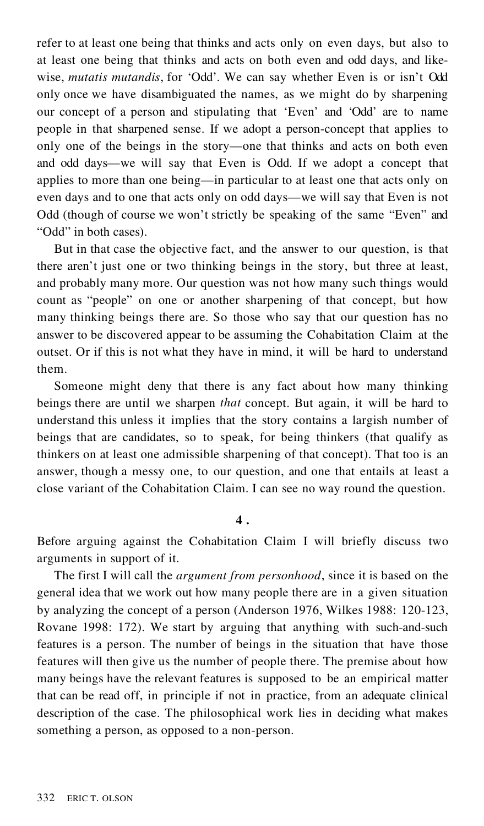refer to at least one being that thinks and acts only on even days, but also to at least one being that thinks and acts on both even and odd days, and likewise, *mutatis mutandis*, for 'Odd'. We can say whether Even is or isn't Odd only once we have disambiguated the names, as we might do by sharpening our concept of a person and stipulating that 'Even' and 'Odd' are to name people in that sharpened sense. If we adopt a person-concept that applies to only one of the beings in the story—one that thinks and acts on both even and odd days—we will say that Even is Odd. If we adopt a concept that applies to more than one being—in particular to at least one that acts only on even days and to one that acts only on odd days—we will say that Even is not Odd (though of course we won't strictly be speaking of the same "Even" and "Odd" in both cases).

But in that case the objective fact, and the answer to our question, is that there aren't just one or two thinking beings in the story, but three at least, and probably many more. Our question was not how many such things would count as "people" on one or another sharpening of that concept, but how many thinking beings there are. So those who say that our question has no answer to be discovered appear to be assuming the Cohabitation Claim at the outset. Or if this is not what they have in mind, it will be hard to understand them.

Someone might deny that there is any fact about how many thinking beings there are until we sharpen *that* concept. But again, it will be hard to understand this unless it implies that the story contains a largish number of beings that are candidates, so to speak, for being thinkers (that qualify as thinkers on at least one admissible sharpening of that concept). That too is an answer, though a messy one, to our question, and one that entails at least a close variant of the Cohabitation Claim. I can see no way round the question.

#### **4 .**

Before arguing against the Cohabitation Claim I will briefly discuss two arguments in support of it.

The first I will call the *argument from personhood*, since it is based on the general idea that we work out how many people there are in a given situation by analyzing the concept of a person (Anderson 1976, Wilkes 1988: 120-123, Rovane 1998: 172). We start by arguing that anything with such-and-such features is a person. The number of beings in the situation that have those features will then give us the number of people there. The premise about how many beings have the relevant features is supposed to be an empirical matter that can be read off, in principle if not in practice, from an adequate clinical description of the case. The philosophical work lies in deciding what makes something a person, as opposed to a non-person.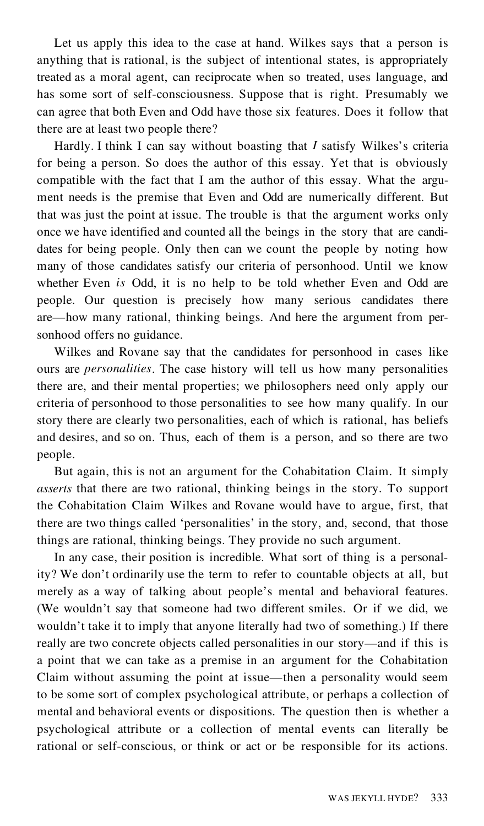Let us apply this idea to the case at hand. Wilkes says that a person is anything that is rational, is the subject of intentional states, is appropriately treated as a moral agent, can reciprocate when so treated, uses language, and has some sort of self-consciousness. Suppose that is right. Presumably we can agree that both Even and Odd have those six features. Does it follow that there are at least two people there?

Hardly. I think I can say without boasting that *I* satisfy Wilkes's criteria for being a person. So does the author of this essay. Yet that is obviously compatible with the fact that I am the author of this essay. What the argument needs is the premise that Even and Odd are numerically different. But that was just the point at issue. The trouble is that the argument works only once we have identified and counted all the beings in the story that are candidates for being people. Only then can we count the people by noting how many of those candidates satisfy our criteria of personhood. Until we know whether Even *is* Odd, it is no help to be told whether Even and Odd are people. Our question is precisely how many serious candidates there are—how many rational, thinking beings. And here the argument from personhood offers no guidance.

Wilkes and Rovane say that the candidates for personhood in cases like ours are *personalities*. The case history will tell us how many personalities there are, and their mental properties; we philosophers need only apply our criteria of personhood to those personalities to see how many qualify. In our story there are clearly two personalities, each of which is rational, has beliefs and desires, and so on. Thus, each of them is a person, and so there are two people.

But again, this is not an argument for the Cohabitation Claim. It simply *asserts* that there are two rational, thinking beings in the story. To support the Cohabitation Claim Wilkes and Rovane would have to argue, first, that there are two things called 'personalities' in the story, and, second, that those things are rational, thinking beings. They provide no such argument.

In any case, their position is incredible. What sort of thing is a personality? We don't ordinarily use the term to refer to countable objects at all, but merely as a way of talking about people's mental and behavioral features. (We wouldn't say that someone had two different smiles. Or if we did, we wouldn't take it to imply that anyone literally had two of something.) If there really are two concrete objects called personalities in our story—and if this is a point that we can take as a premise in an argument for the Cohabitation Claim without assuming the point at issue—then a personality would seem to be some sort of complex psychological attribute, or perhaps a collection of mental and behavioral events or dispositions. The question then is whether a psychological attribute or a collection of mental events can literally be rational or self-conscious, or think or act or be responsible for its actions.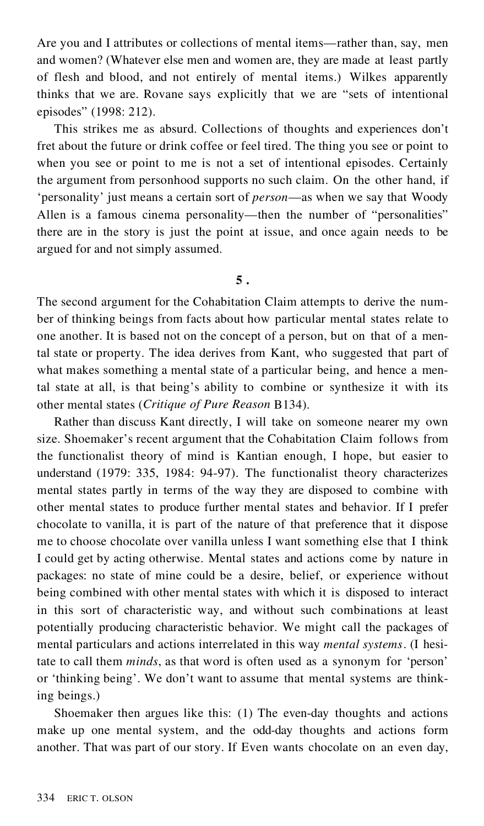Are you and I attributes or collections of mental items—rather than, say, men and women? (Whatever else men and women are, they are made at least partly of flesh and blood, and not entirely of mental items.) Wilkes apparently thinks that we are. Rovane says explicitly that we are "sets of intentional episodes" (1998: 212).

This strikes me as absurd. Collections of thoughts and experiences don't fret about the future or drink coffee or feel tired. The thing you see or point to when you see or point to me is not a set of intentional episodes. Certainly the argument from personhood supports no such claim. On the other hand, if 'personality' just means a certain sort of *person*—as when we say that Woody Allen is a famous cinema personality—then the number of "personalities" there are in the story is just the point at issue, and once again needs to be argued for and not simply assumed.

**5 .**

The second argument for the Cohabitation Claim attempts to derive the number of thinking beings from facts about how particular mental states relate to one another. It is based not on the concept of a person, but on that of a mental state or property. The idea derives from Kant, who suggested that part of what makes something a mental state of a particular being, and hence a mental state at all, is that being's ability to combine or synthesize it with its other mental states (*Critique of Pure Reason* B134).

Rather than discuss Kant directly, I will take on someone nearer my own size. Shoemaker's recent argument that the Cohabitation Claim follows from the functionalist theory of mind is Kantian enough, I hope, but easier to understand (1979: 335, 1984: 94-97). The functionalist theory characterizes mental states partly in terms of the way they are disposed to combine with other mental states to produce further mental states and behavior. If I prefer chocolate to vanilla, it is part of the nature of that preference that it dispose me to choose chocolate over vanilla unless I want something else that I think I could get by acting otherwise. Mental states and actions come by nature in packages: no state of mine could be a desire, belief, or experience without being combined with other mental states with which it is disposed to interact in this sort of characteristic way, and without such combinations at least potentially producing characteristic behavior. We might call the packages of mental particulars and actions interrelated in this way *mental systems*. (I hesitate to call them *minds*, as that word is often used as a synonym for 'person' or 'thinking being'. We don't want to assume that mental systems are thinking beings.)

Shoemaker then argues like this: (1) The even-day thoughts and actions make up one mental system, and the odd-day thoughts and actions form another. That was part of our story. If Even wants chocolate on an even day,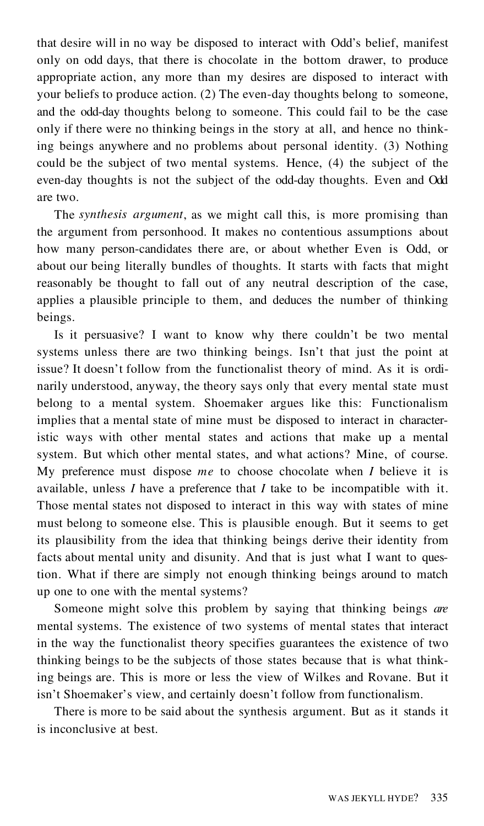that desire will in no way be disposed to interact with Odd's belief, manifest only on odd days, that there is chocolate in the bottom drawer, to produce appropriate action, any more than my desires are disposed to interact with your beliefs to produce action. (2) The even-day thoughts belong to someone, and the odd-day thoughts belong to someone. This could fail to be the case only if there were no thinking beings in the story at all, and hence no thinking beings anywhere and no problems about personal identity. (3) Nothing could be the subject of two mental systems. Hence, (4) the subject of the even-day thoughts is not the subject of the odd-day thoughts. Even and Odd are two.

The *synthesis argument*, as we might call this, is more promising than the argument from personhood. It makes no contentious assumptions about how many person-candidates there are, or about whether Even is Odd, or about our being literally bundles of thoughts. It starts with facts that might reasonably be thought to fall out of any neutral description of the case, applies a plausible principle to them, and deduces the number of thinking beings.

Is it persuasive? I want to know why there couldn't be two mental systems unless there are two thinking beings. Isn't that just the point at issue? It doesn't follow from the functionalist theory of mind. As it is ordinarily understood, anyway, the theory says only that every mental state must belong to a mental system. Shoemaker argues like this: Functionalism implies that a mental state of mine must be disposed to interact in characteristic ways with other mental states and actions that make up a mental system. But which other mental states, and what actions? Mine, of course. My preference must dispose *me* to choose chocolate when *I* believe it is available, unless *I* have a preference that *I* take to be incompatible with it. Those mental states not disposed to interact in this way with states of mine must belong to someone else. This is plausible enough. But it seems to get its plausibility from the idea that thinking beings derive their identity from facts about mental unity and disunity. And that is just what I want to question. What if there are simply not enough thinking beings around to match up one to one with the mental systems?

Someone might solve this problem by saying that thinking beings *are* mental systems. The existence of two systems of mental states that interact in the way the functionalist theory specifies guarantees the existence of two thinking beings to be the subjects of those states because that is what thinking beings are. This is more or less the view of Wilkes and Rovane. But it isn't Shoemaker's view, and certainly doesn't follow from functionalism.

There is more to be said about the synthesis argument. But as it stands it is inconclusive at best.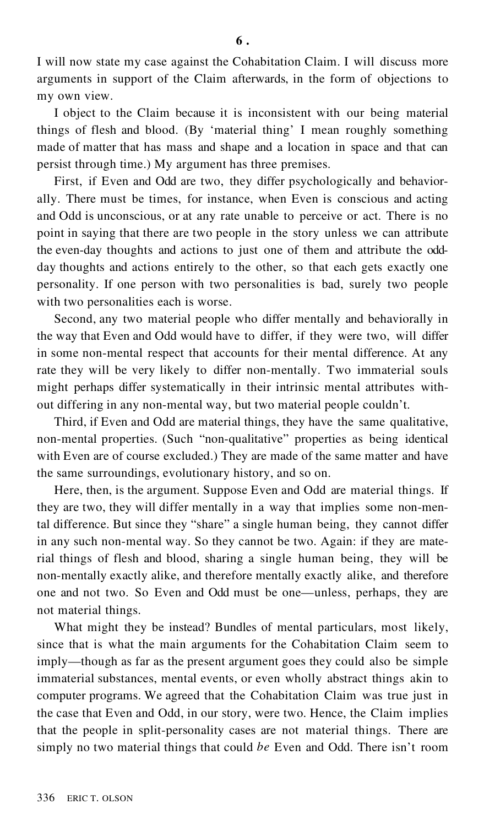I will now state my case against the Cohabitation Claim. I will discuss more arguments in support of the Claim afterwards, in the form of objections to my own view.

I object to the Claim because it is inconsistent with our being material things of flesh and blood. (By 'material thing' I mean roughly something made of matter that has mass and shape and a location in space and that can persist through time.) My argument has three premises.

First, if Even and Odd are two, they differ psychologically and behaviorally. There must be times, for instance, when Even is conscious and acting and Odd is unconscious, or at any rate unable to perceive or act. There is no point in saying that there are two people in the story unless we can attribute the even-day thoughts and actions to just one of them and attribute the oddday thoughts and actions entirely to the other, so that each gets exactly one personality. If one person with two personalities is bad, surely two people with two personalities each is worse.

Second, any two material people who differ mentally and behaviorally in the way that Even and Odd would have to differ, if they were two, will differ in some non-mental respect that accounts for their mental difference. At any rate they will be very likely to differ non-mentally. Two immaterial souls might perhaps differ systematically in their intrinsic mental attributes without differing in any non-mental way, but two material people couldn't.

Third, if Even and Odd are material things, they have the same qualitative, non-mental properties. (Such "non-qualitative" properties as being identical with Even are of course excluded.) They are made of the same matter and have the same surroundings, evolutionary history, and so on.

Here, then, is the argument. Suppose Even and Odd are material things. If they are two, they will differ mentally in a way that implies some non-mental difference. But since they "share" a single human being, they cannot differ in any such non-mental way. So they cannot be two. Again: if they are material things of flesh and blood, sharing a single human being, they will be non-mentally exactly alike, and therefore mentally exactly alike, and therefore one and not two. So Even and Odd must be one—unless, perhaps, they are not material things.

What might they be instead? Bundles of mental particulars, most likely, since that is what the main arguments for the Cohabitation Claim seem to imply—though as far as the present argument goes they could also be simple immaterial substances, mental events, or even wholly abstract things akin to computer programs. We agreed that the Cohabitation Claim was true just in the case that Even and Odd, in our story, were two. Hence, the Claim implies that the people in split-personality cases are not material things. There are simply no two material things that could *be* Even and Odd. There isn't room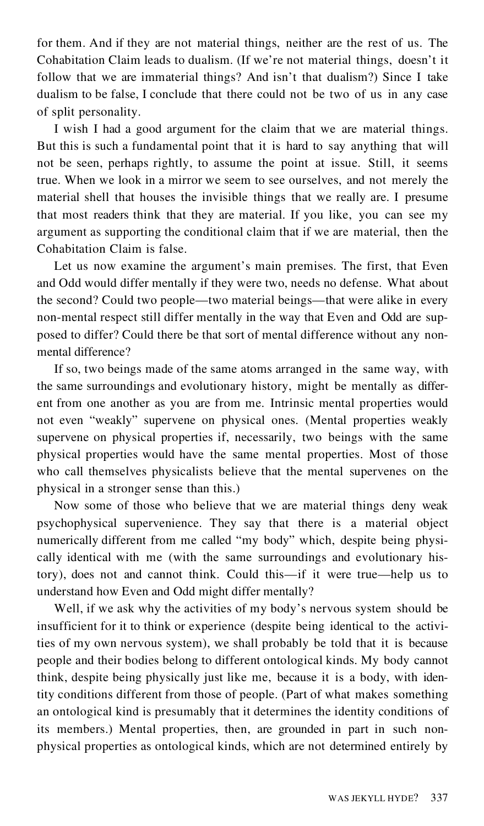for them. And if they are not material things, neither are the rest of us. The Cohabitation Claim leads to dualism. (If we're not material things, doesn't it follow that we are immaterial things? And isn't that dualism?) Since I take dualism to be false, I conclude that there could not be two of us in any case of split personality.

I wish I had a good argument for the claim that we are material things. But this is such a fundamental point that it is hard to say anything that will not be seen, perhaps rightly, to assume the point at issue. Still, it seems true. When we look in a mirror we seem to see ourselves, and not merely the material shell that houses the invisible things that we really are. I presume that most readers think that they are material. If you like, you can see my argument as supporting the conditional claim that if we are material, then the Cohabitation Claim is false.

Let us now examine the argument's main premises. The first, that Even and Odd would differ mentally if they were two, needs no defense. What about the second? Could two people—two material beings—that were alike in every non-mental respect still differ mentally in the way that Even and Odd are supposed to differ? Could there be that sort of mental difference without any nonmental difference?

If so, two beings made of the same atoms arranged in the same way, with the same surroundings and evolutionary history, might be mentally as different from one another as you are from me. Intrinsic mental properties would not even "weakly" supervene on physical ones. (Mental properties weakly supervene on physical properties if, necessarily, two beings with the same physical properties would have the same mental properties. Most of those who call themselves physicalists believe that the mental supervenes on the physical in a stronger sense than this.)

Now some of those who believe that we are material things deny weak psychophysical supervenience. They say that there is a material object numerically different from me called "my body" which, despite being physically identical with me (with the same surroundings and evolutionary history), does not and cannot think. Could this—if it were true—help us to understand how Even and Odd might differ mentally?

Well, if we ask why the activities of my body's nervous system should be insufficient for it to think or experience (despite being identical to the activities of my own nervous system), we shall probably be told that it is because people and their bodies belong to different ontological kinds. My body cannot think, despite being physically just like me, because it is a body, with identity conditions different from those of people. (Part of what makes something an ontological kind is presumably that it determines the identity conditions of its members.) Mental properties, then, are grounded in part in such nonphysical properties as ontological kinds, which are not determined entirely by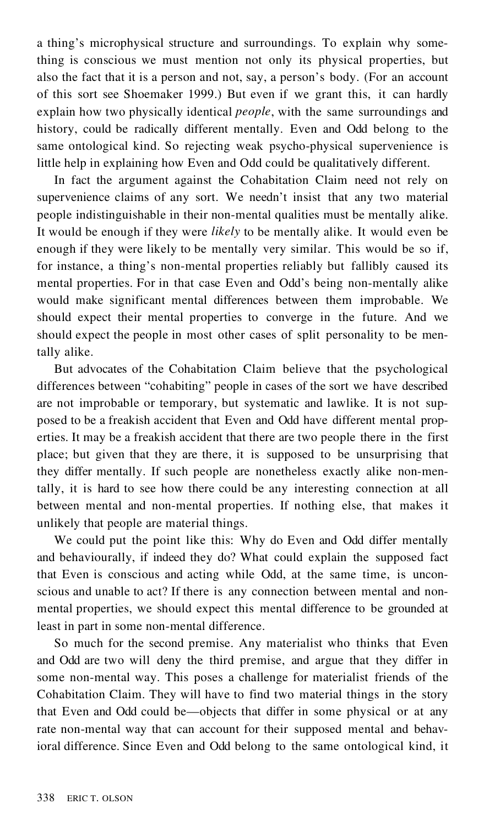a thing's microphysical structure and surroundings. To explain why something is conscious we must mention not only its physical properties, but also the fact that it is a person and not, say, a person's body. (For an account of this sort see Shoemaker 1999.) But even if we grant this, it can hardly explain how two physically identical *people*, with the same surroundings and history, could be radically different mentally. Even and Odd belong to the same ontological kind. So rejecting weak psycho-physical supervenience is little help in explaining how Even and Odd could be qualitatively different.

In fact the argument against the Cohabitation Claim need not rely on supervenience claims of any sort. We needn't insist that any two material people indistinguishable in their non-mental qualities must be mentally alike. It would be enough if they were *likely* to be mentally alike. It would even be enough if they were likely to be mentally very similar. This would be so if, for instance, a thing's non-mental properties reliably but fallibly caused its mental properties. For in that case Even and Odd's being non-mentally alike would make significant mental differences between them improbable. We should expect their mental properties to converge in the future. And we should expect the people in most other cases of split personality to be mentally alike.

But advocates of the Cohabitation Claim believe that the psychological differences between "cohabiting" people in cases of the sort we have described are not improbable or temporary, but systematic and lawlike. It is not supposed to be a freakish accident that Even and Odd have different mental properties. It may be a freakish accident that there are two people there in the first place; but given that they are there, it is supposed to be unsurprising that they differ mentally. If such people are nonetheless exactly alike non-mentally, it is hard to see how there could be any interesting connection at all between mental and non-mental properties. If nothing else, that makes it unlikely that people are material things.

We could put the point like this: Why do Even and Odd differ mentally and behaviourally, if indeed they do? What could explain the supposed fact that Even is conscious and acting while Odd, at the same time, is unconscious and unable to act? If there is any connection between mental and nonmental properties, we should expect this mental difference to be grounded at least in part in some non-mental difference.

So much for the second premise. Any materialist who thinks that Even and Odd are two will deny the third premise, and argue that they differ in some non-mental way. This poses a challenge for materialist friends of the Cohabitation Claim. They will have to find two material things in the story that Even and Odd could be—objects that differ in some physical or at any rate non-mental way that can account for their supposed mental and behavioral difference. Since Even and Odd belong to the same ontological kind, it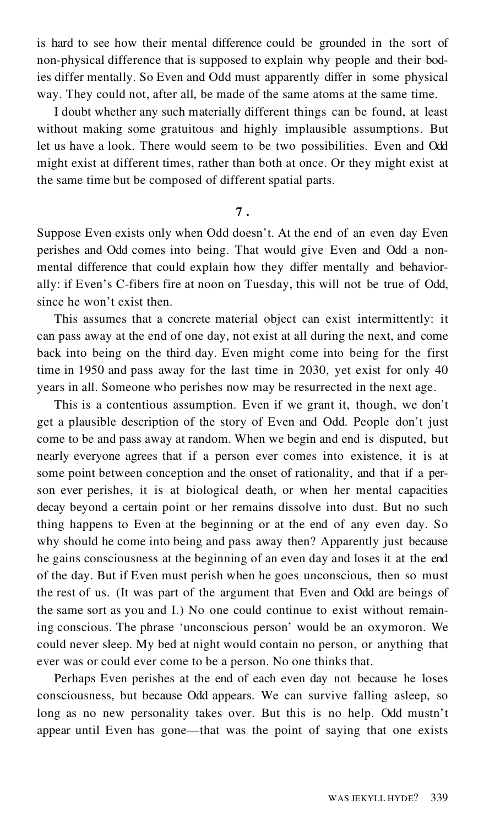is hard to see how their mental difference could be grounded in the sort of non-physical difference that is supposed to explain why people and their bodies differ mentally. So Even and Odd must apparently differ in some physical way. They could not, after all, be made of the same atoms at the same time.

I doubt whether any such materially different things can be found, at least without making some gratuitous and highly implausible assumptions. But let us have a look. There would seem to be two possibilities. Even and Odd might exist at different times, rather than both at once. Or they might exist at the same time but be composed of different spatial parts.

#### **7 .**

Suppose Even exists only when Odd doesn't. At the end of an even day Even perishes and Odd comes into being. That would give Even and Odd a nonmental difference that could explain how they differ mentally and behaviorally: if Even's C-fibers fire at noon on Tuesday, this will not be true of Odd, since he won't exist then.

This assumes that a concrete material object can exist intermittently: it can pass away at the end of one day, not exist at all during the next, and come back into being on the third day. Even might come into being for the first time in 1950 and pass away for the last time in 2030, yet exist for only 40 years in all. Someone who perishes now may be resurrected in the next age.

This is a contentious assumption. Even if we grant it, though, we don't get a plausible description of the story of Even and Odd. People don't just come to be and pass away at random. When we begin and end is disputed, but nearly everyone agrees that if a person ever comes into existence, it is at some point between conception and the onset of rationality, and that if a person ever perishes, it is at biological death, or when her mental capacities decay beyond a certain point or her remains dissolve into dust. But no such thing happens to Even at the beginning or at the end of any even day. So why should he come into being and pass away then? Apparently just because he gains consciousness at the beginning of an even day and loses it at the end of the day. But if Even must perish when he goes unconscious, then so must the rest of us. (It was part of the argument that Even and Odd are beings of the same sort as you and I.) No one could continue to exist without remaining conscious. The phrase 'unconscious person' would be an oxymoron. We could never sleep. My bed at night would contain no person, or anything that ever was or could ever come to be a person. No one thinks that.

Perhaps Even perishes at the end of each even day not because he loses consciousness, but because Odd appears. We can survive falling asleep, so long as no new personality takes over. But this is no help. Odd mustn't appear until Even has gone—that was the point of saying that one exists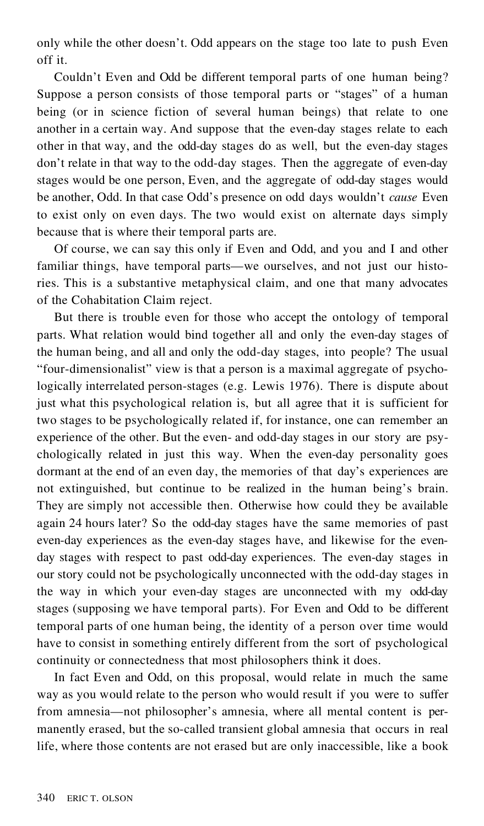only while the other doesn't. Odd appears on the stage too late to push Even off it.

Couldn't Even and Odd be different temporal parts of one human being? Suppose a person consists of those temporal parts or "stages" of a human being (or in science fiction of several human beings) that relate to one another in a certain way. And suppose that the even-day stages relate to each other in that way, and the odd-day stages do as well, but the even-day stages don't relate in that way to the odd-day stages. Then the aggregate of even-day stages would be one person, Even, and the aggregate of odd-day stages would be another, Odd. In that case Odd's presence on odd days wouldn't *cause* Even to exist only on even days. The two would exist on alternate days simply because that is where their temporal parts are.

Of course, we can say this only if Even and Odd, and you and I and other familiar things, have temporal parts—we ourselves, and not just our histories. This is a substantive metaphysical claim, and one that many advocates of the Cohabitation Claim reject.

But there is trouble even for those who accept the ontology of temporal parts. What relation would bind together all and only the even-day stages of the human being, and all and only the odd-day stages, into people? The usual "four-dimensionalist" view is that a person is a maximal aggregate of psychologically interrelated person-stages (e.g. Lewis 1976). There is dispute about just what this psychological relation is, but all agree that it is sufficient for two stages to be psychologically related if, for instance, one can remember an experience of the other. But the even- and odd-day stages in our story are psychologically related in just this way. When the even-day personality goes dormant at the end of an even day, the memories of that day's experiences are not extinguished, but continue to be realized in the human being's brain. They are simply not accessible then. Otherwise how could they be available again 24 hours later? So the odd-day stages have the same memories of past even-day experiences as the even-day stages have, and likewise for the evenday stages with respect to past odd-day experiences. The even-day stages in our story could not be psychologically unconnected with the odd-day stages in the way in which your even-day stages are unconnected with my odd-day stages (supposing we have temporal parts). For Even and Odd to be different temporal parts of one human being, the identity of a person over time would have to consist in something entirely different from the sort of psychological continuity or connectedness that most philosophers think it does.

In fact Even and Odd, on this proposal, would relate in much the same way as you would relate to the person who would result if you were to suffer from amnesia—not philosopher's amnesia, where all mental content is permanently erased, but the so-called transient global amnesia that occurs in real life, where those contents are not erased but are only inaccessible, like a book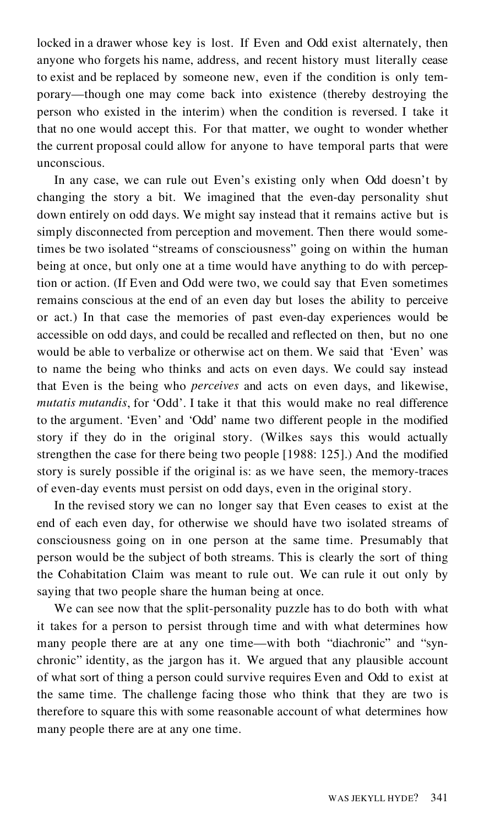locked in a drawer whose key is lost. If Even and Odd exist alternately, then anyone who forgets his name, address, and recent history must literally cease to exist and be replaced by someone new, even if the condition is only temporary—though one may come back into existence (thereby destroying the person who existed in the interim) when the condition is reversed. I take it that no one would accept this. For that matter, we ought to wonder whether the current proposal could allow for anyone to have temporal parts that were unconscious.

In any case, we can rule out Even's existing only when Odd doesn't by changing the story a bit. We imagined that the even-day personality shut down entirely on odd days. We might say instead that it remains active but is simply disconnected from perception and movement. Then there would sometimes be two isolated "streams of consciousness" going on within the human being at once, but only one at a time would have anything to do with perception or action. (If Even and Odd were two, we could say that Even sometimes remains conscious at the end of an even day but loses the ability to perceive or act.) In that case the memories of past even-day experiences would be accessible on odd days, and could be recalled and reflected on then, but no one would be able to verbalize or otherwise act on them. We said that 'Even' was to name the being who thinks and acts on even days. We could say instead that Even is the being who *perceives* and acts on even days, and likewise, *mutatis mutandis*, for 'Odd'. I take it that this would make no real difference to the argument. 'Even' and 'Odd' name two different people in the modified story if they do in the original story. (Wilkes says this would actually strengthen the case for there being two people [1988: 125].) And the modified story is surely possible if the original is: as we have seen, the memory-traces of even-day events must persist on odd days, even in the original story.

In the revised story we can no longer say that Even ceases to exist at the end of each even day, for otherwise we should have two isolated streams of consciousness going on in one person at the same time. Presumably that person would be the subject of both streams. This is clearly the sort of thing the Cohabitation Claim was meant to rule out. We can rule it out only by saying that two people share the human being at once.

We can see now that the split-personality puzzle has to do both with what it takes for a person to persist through time and with what determines how many people there are at any one time—with both "diachronic" and "synchronic" identity, as the jargon has it. We argued that any plausible account of what sort of thing a person could survive requires Even and Odd to exist at the same time. The challenge facing those who think that they are two is therefore to square this with some reasonable account of what determines how many people there are at any one time.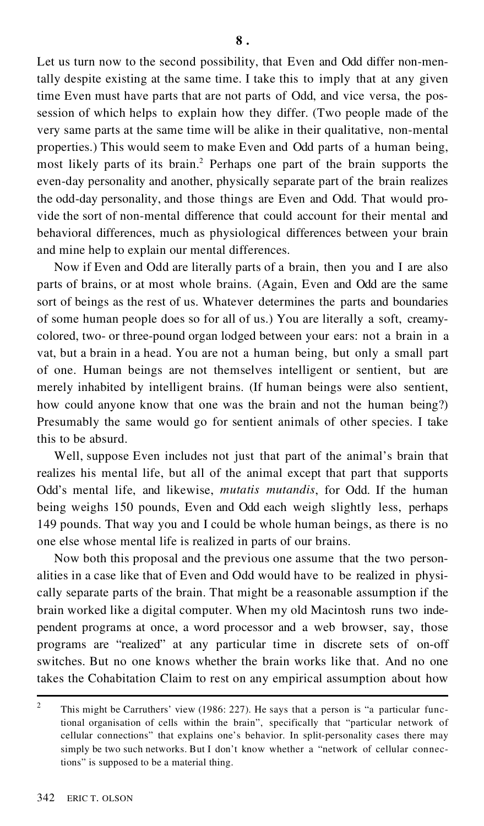Let us turn now to the second possibility, that Even and Odd differ non-mentally despite existing at the same time. I take this to imply that at any given time Even must have parts that are not parts of Odd, and vice versa, the possession of which helps to explain how they differ. (Two people made of the very same parts at the same time will be alike in their qualitative, non-mental properties.) This would seem to make Even and Odd parts of a human being, most likely parts of its brain.<sup>2</sup> Perhaps one part of the brain supports the even-day personality and another, physically separate part of the brain realizes the odd-day personality, and those things are Even and Odd. That would provide the sort of non-mental difference that could account for their mental and behavioral differences, much as physiological differences between your brain and mine help to explain our mental differences.

Now if Even and Odd are literally parts of a brain, then you and I are also parts of brains, or at most whole brains. (Again, Even and Odd are the same sort of beings as the rest of us. Whatever determines the parts and boundaries of some human people does so for all of us.) You are literally a soft, creamycolored, two- or three-pound organ lodged between your ears: not a brain in a vat, but a brain in a head. You are not a human being, but only a small part of one. Human beings are not themselves intelligent or sentient, but are merely inhabited by intelligent brains. (If human beings were also sentient, how could anyone know that one was the brain and not the human being?) Presumably the same would go for sentient animals of other species. I take this to be absurd.

Well, suppose Even includes not just that part of the animal's brain that realizes his mental life, but all of the animal except that part that supports Odd's mental life, and likewise, *mutatis mutandis*, for Odd. If the human being weighs 150 pounds, Even and Odd each weigh slightly less, perhaps 149 pounds. That way you and I could be whole human beings, as there is no one else whose mental life is realized in parts of our brains.

Now both this proposal and the previous one assume that the two personalities in a case like that of Even and Odd would have to be realized in physically separate parts of the brain. That might be a reasonable assumption if the brain worked like a digital computer. When my old Macintosh runs two independent programs at once, a word processor and a web browser, say, those programs are "realized" at any particular time in discrete sets of on-off switches. But no one knows whether the brain works like that. And no one takes the Cohabitation Claim to rest on any empirical assumption about how

<sup>2</sup> This might be Carruthers' view (1986: 227). He says that a person is "a particular functional organisation of cells within the brain", specifically that "particular network of cellular connections" that explains one's behavior. In split-personality cases there may simply be two such networks. But I don't know whether a "network of cellular connections" is supposed to be a material thing.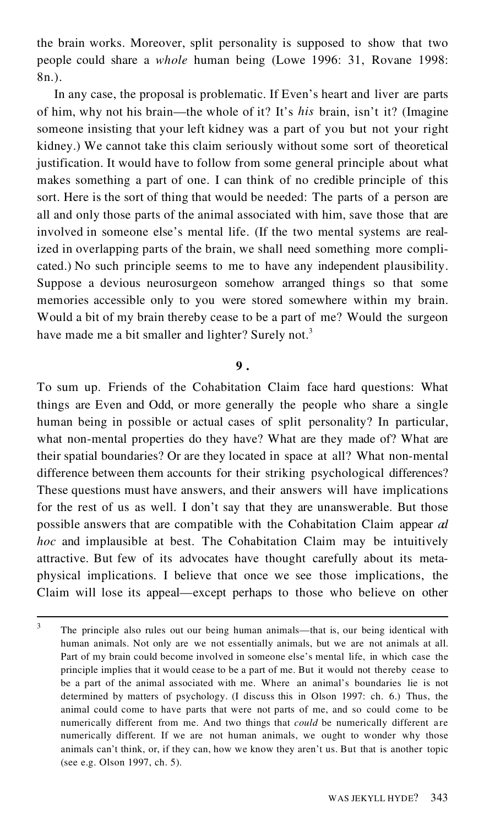the brain works. Moreover, split personality is supposed to show that two people could share a *whole* human being (Lowe 1996: 31, Rovane 1998: 8n.).

In any case, the proposal is problematic. If Even's heart and liver are parts of him, why not his brain—the whole of it? It's *his* brain, isn't it? (Imagine someone insisting that your left kidney was a part of you but not your right kidney.) We cannot take this claim seriously without some sort of theoretical justification. It would have to follow from some general principle about what makes something a part of one. I can think of no credible principle of this sort. Here is the sort of thing that would be needed: The parts of a person are all and only those parts of the animal associated with him, save those that are involved in someone else's mental life. (If the two mental systems are realized in overlapping parts of the brain, we shall need something more complicated.) No such principle seems to me to have any independent plausibility. Suppose a devious neurosurgeon somehow arranged things so that some memories accessible only to you were stored somewhere within my brain. Would a bit of my brain thereby cease to be a part of me? Would the surgeon have made me a bit smaller and lighter? Surely not.<sup>3</sup>

#### **9 .**

To sum up. Friends of the Cohabitation Claim face hard questions: What things are Even and Odd, or more generally the people who share a single human being in possible or actual cases of split personality? In particular, what non-mental properties do they have? What are they made of? What are their spatial boundaries? Or are they located in space at all? What non-mental difference between them accounts for their striking psychological differences? These questions must have answers, and their answers will have implications for the rest of us as well. I don't say that they are unanswerable. But those possible answers that are compatible with the Cohabitation Claim appear *ad hoc* and implausible at best. The Cohabitation Claim may be intuitively attractive. But few of its advocates have thought carefully about its metaphysical implications. I believe that once we see those implications, the Claim will lose its appeal—except perhaps to those who believe on other

<sup>3</sup> The principle also rules out our being human animals—that is, our being identical with human animals. Not only are we not essentially animals, but we are not animals at all. Part of my brain could become involved in someone else's mental life, in which case the principle implies that it would cease to be a part of me. But it would not thereby cease to be a part of the animal associated with me. Where an animal's boundaries lie is not determined by matters of psychology. (I discuss this in Olson 1997: ch. 6.) Thus, the animal could come to have parts that were not parts of me, and so could come to be numerically different from me. And two things that *could* be numerically different are numerically different. If we are not human animals, we ought to wonder why those animals can't think, or, if they can, how we know they aren't us. But that is another topic (see e.g. Olson 1997, ch. 5).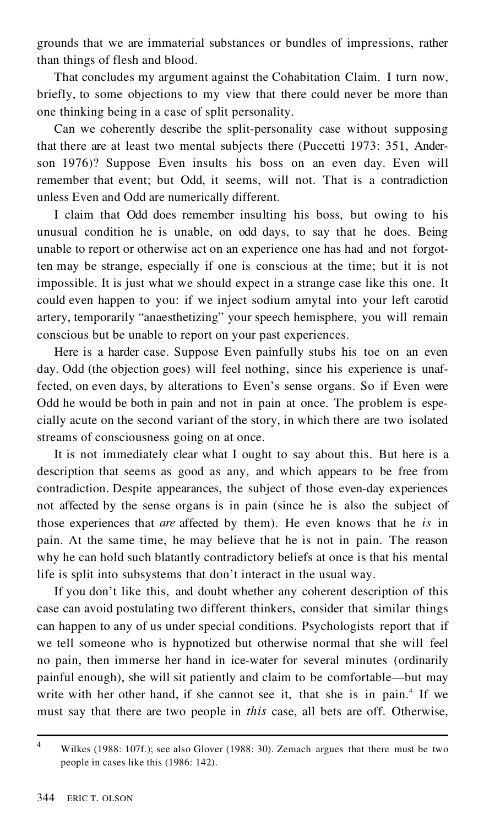grounds that we are immaterial substances or bundles of impressions, rather than things of flesh and blood.

That concludes my argument against the Cohabitation Claim. I turn now, briefly, to some objections to my view that there could never be more than one thinking being in a case of split personality.

Can we coherently describe the split-personality case without supposing that there are at least two mental subjects there (Puccetti 1973: 351, Anderson 1976)? Suppose Even insults his boss on an even day. Even will remember that event; but Odd, it seems, will not. That is a contradiction unless Even and Odd are numerically different.

I claim that Odd does remember insulting his boss, but owing to his unusual condition he is unable, on odd days, to say that he does. Being unable to report or otherwise act on an experience one has had and not forgotten may be strange, especially if one is conscious at the time; but it is not impossible. It is just what we should expect in a strange case like this one. It could even happen to you: if we inject sodium amytal into your left carotid artery, temporarily "anaesthetizing" your speech hemisphere, you will remain conscious but be unable to report on your past experiences.

Here is a harder case. Suppose Even painfully stubs his toe on an even day. Odd (the objection goes) will feel nothing, since his experience is unaffected, on even days, by alterations to Even's sense organs. So if Even were Odd he would be both in pain and not in pain at once. The problem is especially acute on the second variant of the story, in which there are two isolated streams of consciousness going on at once.

It is not immediately clear what I ought to say about this. But here is a description that seems as good as any, and which appears to be free from contradiction. Despite appearances, the subject of those even-day experiences not affected by the sense organs is in pain (since he is also the subject of those experiences that *are* affected by them). He even knows that he *is* in pain. At the same time, he may believe that he is not in pain. The reason why he can hold such blatantly contradictory beliefs at once is that his mental life is split into subsystems that don't interact in the usual way.

If you don't like this, and doubt whether any coherent description of this case can avoid postulating two different thinkers, consider that similar things can happen to any of us under special conditions. Psychologists report that if we tell someone who is hypnotized but otherwise normal that she will feel no pain, then immerse her hand in ice-water for several minutes (ordinarily painful enough), she will sit patiently and claim to be comfortable—but may write with her other hand, if she cannot see it, that she is in pain.<sup>4</sup> If we must say that there are two people in *this* case, all bets are off. Otherwise,

<sup>4</sup> Wilkes (1988: 107f.); see also Glover (1988: 30). Zemach argues that there must be two people in cases like this (1986: 142).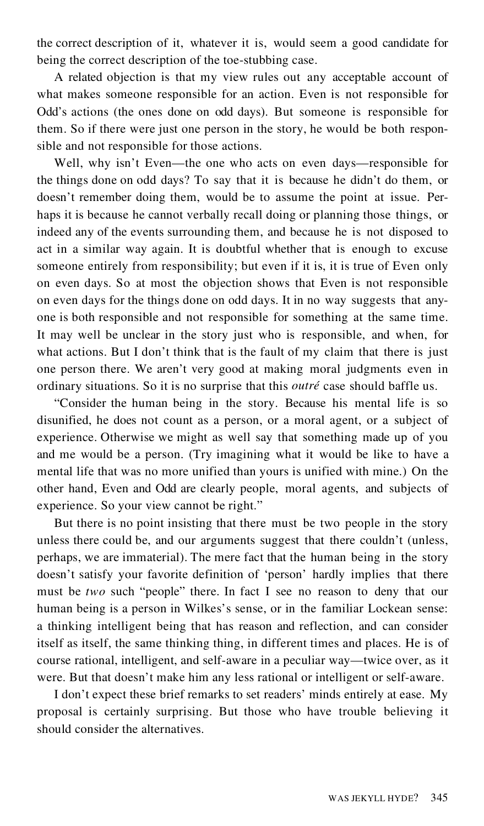the correct description of it, whatever it is, would seem a good candidate for being the correct description of the toe-stubbing case.

A related objection is that my view rules out any acceptable account of what makes someone responsible for an action. Even is not responsible for Odd's actions (the ones done on odd days). But someone is responsible for them. So if there were just one person in the story, he would be both responsible and not responsible for those actions.

Well, why isn't Even—the one who acts on even days—responsible for the things done on odd days? To say that it is because he didn't do them, or doesn't remember doing them, would be to assume the point at issue. Perhaps it is because he cannot verbally recall doing or planning those things, or indeed any of the events surrounding them, and because he is not disposed to act in a similar way again. It is doubtful whether that is enough to excuse someone entirely from responsibility; but even if it is, it is true of Even only on even days. So at most the objection shows that Even is not responsible on even days for the things done on odd days. It in no way suggests that anyone is both responsible and not responsible for something at the same time. It may well be unclear in the story just who is responsible, and when, for what actions. But I don't think that is the fault of my claim that there is just one person there. We aren't very good at making moral judgments even in ordinary situations. So it is no surprise that this *outré* case should baffle us.

"Consider the human being in the story. Because his mental life is so disunified, he does not count as a person, or a moral agent, or a subject of experience. Otherwise we might as well say that something made up of you and me would be a person. (Try imagining what it would be like to have a mental life that was no more unified than yours is unified with mine.) On the other hand, Even and Odd are clearly people, moral agents, and subjects of experience. So your view cannot be right."

But there is no point insisting that there must be two people in the story unless there could be, and our arguments suggest that there couldn't (unless, perhaps, we are immaterial). The mere fact that the human being in the story doesn't satisfy your favorite definition of 'person' hardly implies that there must be *two* such "people" there. In fact I see no reason to deny that our human being is a person in Wilkes's sense, or in the familiar Lockean sense: a thinking intelligent being that has reason and reflection, and can consider itself as itself, the same thinking thing, in different times and places. He is of course rational, intelligent, and self-aware in a peculiar way—twice over, as it were. But that doesn't make him any less rational or intelligent or self-aware.

I don't expect these brief remarks to set readers' minds entirely at ease. My proposal is certainly surprising. But those who have trouble believing it should consider the alternatives.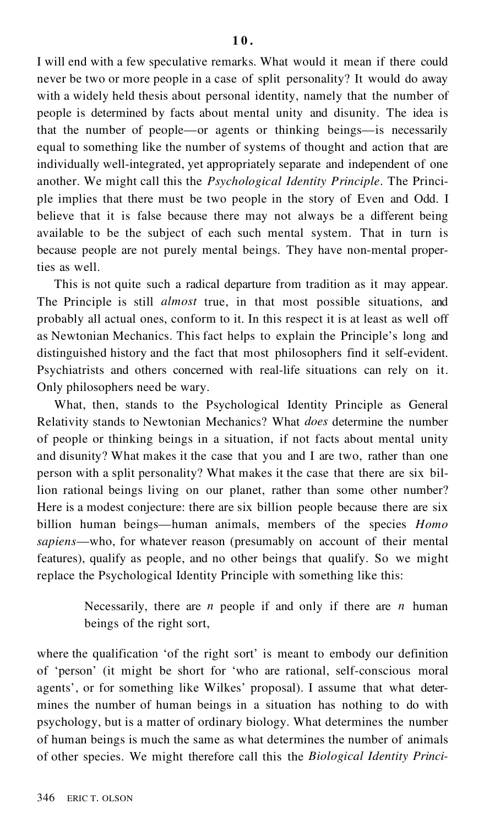I will end with a few speculative remarks. What would it mean if there could never be two or more people in a case of split personality? It would do away with a widely held thesis about personal identity, namely that the number of people is determined by facts about mental unity and disunity. The idea is that the number of people—or agents or thinking beings—is necessarily equal to something like the number of systems of thought and action that are individually well-integrated, yet appropriately separate and independent of one another. We might call this the *Psychological Identity Principle*. The Principle implies that there must be two people in the story of Even and Odd. I believe that it is false because there may not always be a different being available to be the subject of each such mental system. That in turn is because people are not purely mental beings. They have non-mental properties as well.

This is not quite such a radical departure from tradition as it may appear. The Principle is still *almost* true, in that most possible situations, and probably all actual ones, conform to it. In this respect it is at least as well off as Newtonian Mechanics. This fact helps to explain the Principle's long and distinguished history and the fact that most philosophers find it self-evident. Psychiatrists and others concerned with real-life situations can rely on it. Only philosophers need be wary.

What, then, stands to the Psychological Identity Principle as General Relativity stands to Newtonian Mechanics? What *does* determine the number of people or thinking beings in a situation, if not facts about mental unity and disunity? What makes it the case that you and I are two, rather than one person with a split personality? What makes it the case that there are six billion rational beings living on our planet, rather than some other number? Here is a modest conjecture: there are six billion people because there are six billion human beings—human animals, members of the species *Homo sapiens*—who, for whatever reason (presumably on account of their mental features), qualify as people, and no other beings that qualify. So we might replace the Psychological Identity Principle with something like this:

> Necessarily, there are *n* people if and only if there are *n* human beings of the right sort,

where the qualification 'of the right sort' is meant to embody our definition of 'person' (it might be short for 'who are rational, self-conscious moral agents', or for something like Wilkes' proposal). I assume that what determines the number of human beings in a situation has nothing to do with psychology, but is a matter of ordinary biology. What determines the number of human beings is much the same as what determines the number of animals of other species. We might therefore call this the *Biological Identity Princi-*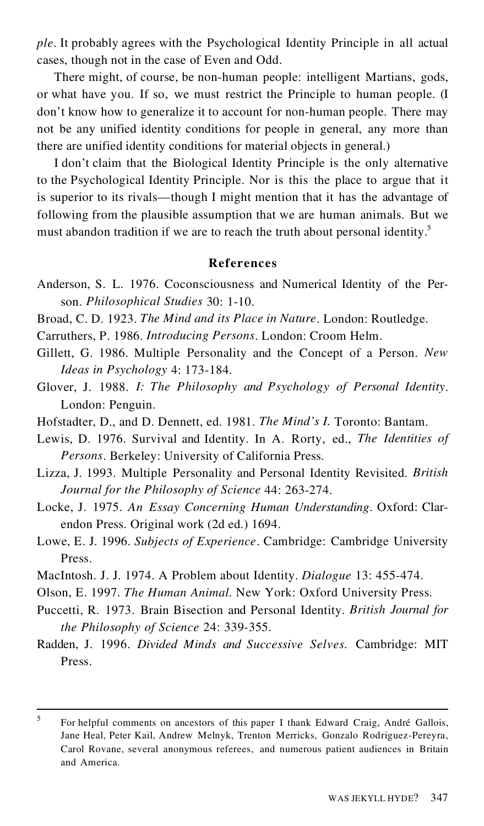*ple*. It probably agrees with the Psychological Identity Principle in all actual cases, though not in the case of Even and Odd.

There might, of course, be non-human people: intelligent Martians, gods, or what have you. If so, we must restrict the Principle to human people. (I don't know how to generalize it to account for non-human people. There may not be any unified identity conditions for people in general, any more than there are unified identity conditions for material objects in general.)

I don't claim that the Biological Identity Principle is the only alternative to the Psychological Identity Principle. Nor is this the place to argue that it is superior to its rivals—though I might mention that it has the advantage of following from the plausible assumption that we are human animals. But we must abandon tradition if we are to reach the truth about personal identity.<sup>5</sup>

#### **References**

- Anderson, S. L. 1976. Coconsciousness and Numerical Identity of the Person. *Philosophical Studies* 30: 1-10.
- Broad, C. D. 1923. *The Mind and its Place in Nature*. London: Routledge.
- Carruthers, P. 1986. *Introducing Persons*. London: Croom Helm.
- Gillett, G. 1986. Multiple Personality and the Concept of a Person. *New Ideas in Psychology* 4: 173-184.
- Glover, J. 1988. *I: The Philosophy and Psychology of Personal Identity*. London: Penguin.
- Hofstadter, D., and D. Dennett, ed. 1981. *The Mind's I.* Toronto: Bantam.

Lewis, D. 1976. Survival and Identity. In A. Rorty, ed., *The Identities of Persons*. Berkeley: University of California Press.

- Lizza, J. 1993. Multiple Personality and Personal Identity Revisited. *British Journal for the Philosophy of Science* 44: 263-274.
- Locke, J. 1975. *An Essay Concerning Human Understanding*. Oxford: Clarendon Press. Original work (2d ed.) 1694.
- Lowe, E. J. 1996. *Subjects of Experience*. Cambridge: Cambridge University Press.
- MacIntosh. J. J. 1974. A Problem about Identity. *Dialogue* 13: 455-474.
- Olson, E. 1997. *The Human Animal.* New York: Oxford University Press.
- Puccetti, R. 1973. Brain Bisection and Personal Identity. *British Journal for the Philosophy of Science* 24: 339-355.
- Radden, J. 1996. *Divided Minds and Successive Selves.* Cambridge: MIT Press.

<sup>5</sup> For helpful comments on ancestors of this paper I thank Edward Craig, André Gallois, Jane Heal, Peter Kail, Andrew Melnyk, Trenton Merricks, Gonzalo Rodriguez-Pereyra, Carol Rovane, several anonymous referees, and numerous patient audiences in Britain and America.